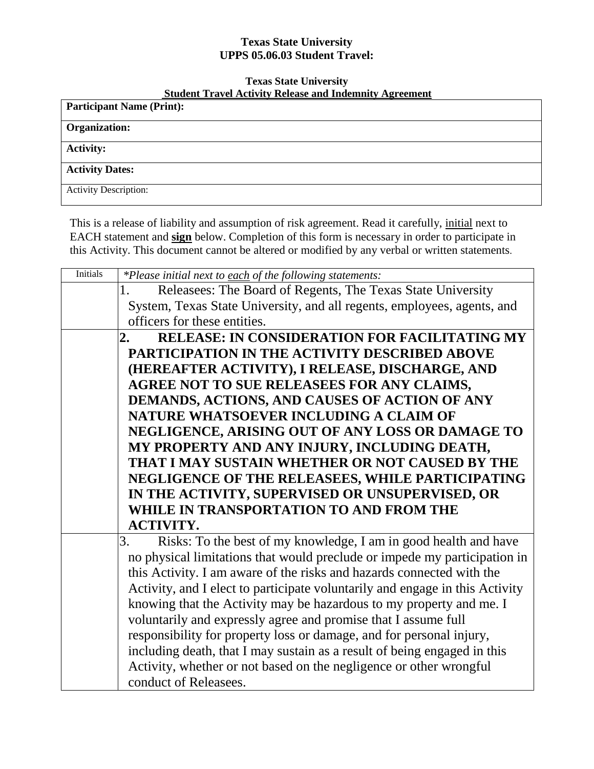## **Texas State University UPPS 05.06.03 Student Travel:**

## **Texas State University Student Travel Activity Release and Indemnity Agreement**

| Student Travel Activity Refease and Indentitive Agreement |  |  |
|-----------------------------------------------------------|--|--|
| <b>Participant Name (Print):</b>                          |  |  |
|                                                           |  |  |
| <b>Organization:</b>                                      |  |  |
| <b>Activity:</b>                                          |  |  |
| <b>Activity Dates:</b>                                    |  |  |
| <b>Activity Description:</b>                              |  |  |

This is a release of liability and assumption of risk agreement. Read it carefully, initial next to EACH statement and **sign** below. Completion of this form is necessary in order to participate in this Activity. This document cannot be altered or modified by any verbal or written statements.

| <b>Initials</b> | *Please initial next to each of the following statements:                    |
|-----------------|------------------------------------------------------------------------------|
|                 | Releasees: The Board of Regents, The Texas State University                  |
|                 | System, Texas State University, and all regents, employees, agents, and      |
|                 | officers for these entities.                                                 |
|                 | <b>RELEASE: IN CONSIDERATION FOR FACILITATING MY</b><br>$\overline{2}$ .     |
|                 | <b>PARTICIPATION IN THE ACTIVITY DESCRIBED ABOVE</b>                         |
|                 | (HEREAFTER ACTIVITY), I RELEASE, DISCHARGE, AND                              |
|                 | AGREE NOT TO SUE RELEASEES FOR ANY CLAIMS,                                   |
|                 | DEMANDS, ACTIONS, AND CAUSES OF ACTION OF ANY                                |
|                 | NATURE WHATSOEVER INCLUDING A CLAIM OF                                       |
|                 | NEGLIGENCE, ARISING OUT OF ANY LOSS OR DAMAGE TO                             |
|                 | MY PROPERTY AND ANY INJURY, INCLUDING DEATH,                                 |
|                 | THAT I MAY SUSTAIN WHETHER OR NOT CAUSED BY THE                              |
|                 | NEGLIGENCE OF THE RELEASEES, WHILE PARTICIPATING                             |
|                 | IN THE ACTIVITY, SUPERVISED OR UNSUPERVISED, OR                              |
|                 | WHILE IN TRANSPORTATION TO AND FROM THE                                      |
|                 | <b>ACTIVITY.</b>                                                             |
|                 | Risks: To the best of my knowledge, I am in good health and have<br>3.       |
|                 | no physical limitations that would preclude or impede my participation in    |
|                 | this Activity. I am aware of the risks and hazards connected with the        |
|                 | Activity, and I elect to participate voluntarily and engage in this Activity |
|                 | knowing that the Activity may be hazardous to my property and me. I          |
|                 | voluntarily and expressly agree and promise that I assume full               |
|                 | responsibility for property loss or damage, and for personal injury,         |
|                 | including death, that I may sustain as a result of being engaged in this     |
|                 | Activity, whether or not based on the negligence or other wrongful           |
|                 | conduct of Releasees.                                                        |